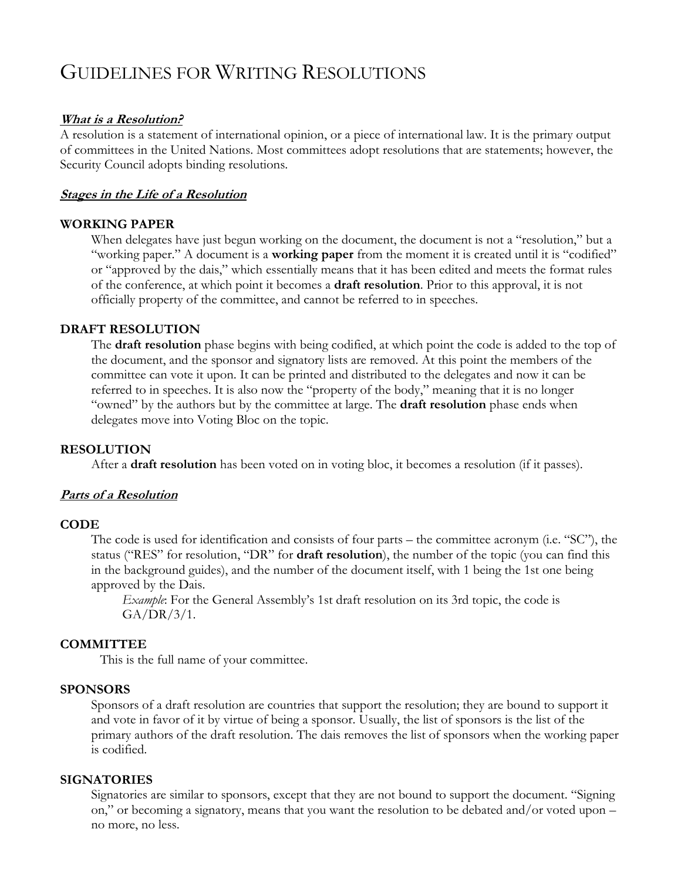# GUIDELINES FOR WRITING RESOLUTIONS

#### **What is a Resolution?**

A resolution is a statement of international opinion, or a piece of international law. It is the primary output of committees in the United Nations. Most committees adopt resolutions that are statements; however, the Security Council adopts binding resolutions.

#### **Stages in the Life of a Resolution**

#### **WORKING PAPER**

When delegates have just begun working on the document, the document is not a "resolution," but a "working paper." A document is a **working paper** from the moment it is created until it is "codified" or "approved by the dais," which essentially means that it has been edited and meets the format rules of the conference, at which point it becomes a **draft resolution**. Prior to this approval, it is not officially property of the committee, and cannot be referred to in speeches.

#### **DRAFT RESOLUTION**

The **draft resolution** phase begins with being codified, at which point the code is added to the top of the document, and the sponsor and signatory lists are removed. At this point the members of the committee can vote it upon. It can be printed and distributed to the delegates and now it can be referred to in speeches. It is also now the "property of the body," meaning that it is no longer "owned" by the authors but by the committee at large. The **draft resolution** phase ends when delegates move into Voting Bloc on the topic.

## **RESOLUTION**

After a **draft resolution** has been voted on in voting bloc, it becomes a resolution (if it passes).

## **Parts of a Resolution**

#### **CODE**

The code is used for identification and consists of four parts – the committee acronym (i.e. "SC"), the status ("RES" for resolution, "DR" for **draft resolution**), the number of the topic (you can find this in the background guides), and the number of the document itself, with 1 being the 1st one being approved by the Dais.

*Example*: For the General Assembly's 1st draft resolution on its 3rd topic, the code is GA/DR/3/1.

#### **COMMITTEE**

This is the full name of your committee.

### **SPONSORS**

Sponsors of a draft resolution are countries that support the resolution; they are bound to support it and vote in favor of it by virtue of being a sponsor. Usually, the list of sponsors is the list of the primary authors of the draft resolution. The dais removes the list of sponsors when the working paper is codified.

#### **SIGNATORIES**

Signatories are similar to sponsors, except that they are not bound to support the document. "Signing on," or becoming a signatory, means that you want the resolution to be debated and/or voted upon – no more, no less.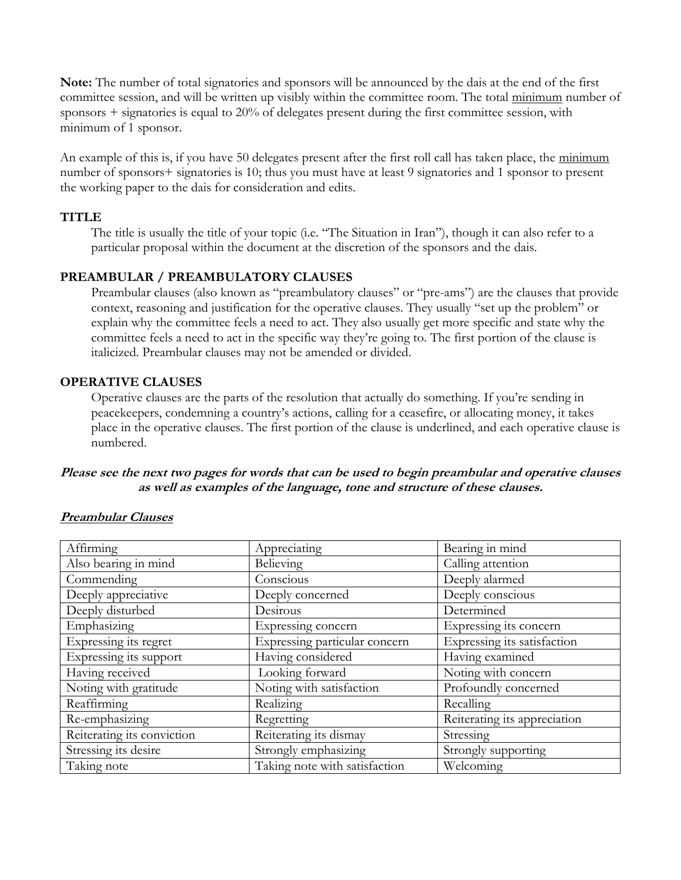**Note:** The number of total signatories and sponsors will be announced by the dais at the end of the first committee session, and will be written up visibly within the committee room. The total minimum number of sponsors + signatories is equal to 20% of delegates present during the first committee session, with minimum of 1 sponsor.

An example of this is, if you have 50 delegates present after the first roll call has taken place, the minimum number of sponsors+ signatories is 10; thus you must have at least 9 signatories and 1 sponsor to present the working paper to the dais for consideration and edits.

## **TITLE**

The title is usually the title of your topic (i.e. "The Situation in Iran"), though it can also refer to a particular proposal within the document at the discretion of the sponsors and the dais.

# **PREAMBULAR / PREAMBULATORY CLAUSES**

Preambular clauses (also known as "preambulatory clauses" or "pre-ams") are the clauses that provide context, reasoning and justification for the operative clauses. They usually "set up the problem" or explain why the committee feels a need to act. They also usually get more specific and state why the committee feels a need to act in the specific way they're going to. The first portion of the clause is italicized. Preambular clauses may not be amended or divided.

# **OPERATIVE CLAUSES**

Operative clauses are the parts of the resolution that actually do something. If you're sending in peacekeepers, condemning a country's actions, calling for a ceasefire, or allocating money, it takes place in the operative clauses. The first portion of the clause is underlined, and each operative clause is numbered.

## **Please see the next two pages for words that can be used to begin preambular and operative clauses as well as examples of the language, tone and structure of these clauses.**

| Affirming                  | Appreciating                  | Bearing in mind              |
|----------------------------|-------------------------------|------------------------------|
| Also bearing in mind       | <b>Believing</b>              | Calling attention            |
| Commending                 | Conscious                     | Deeply alarmed               |
| Deeply appreciative        | Deeply concerned              | Deeply conscious             |
| Deeply disturbed           | Desirous                      | Determined                   |
| Emphasizing                | Expressing concern            | Expressing its concern       |
| Expressing its regret      | Expressing particular concern | Expressing its satisfaction  |
| Expressing its support     | Having considered             | Having examined              |
| Having received            | Looking forward               | Noting with concern          |
| Noting with gratitude      | Noting with satisfaction      | Profoundly concerned         |
| Reaffirming                | Realizing                     | Recalling                    |
| Re-emphasizing             | Regretting                    | Reiterating its appreciation |
| Reiterating its conviction | Reiterating its dismay        | Stressing                    |
| Stressing its desire       | Strongly emphasizing          | Strongly supporting          |
| Taking note                | Taking note with satisfaction | Welcoming                    |

## **Preambular Clauses**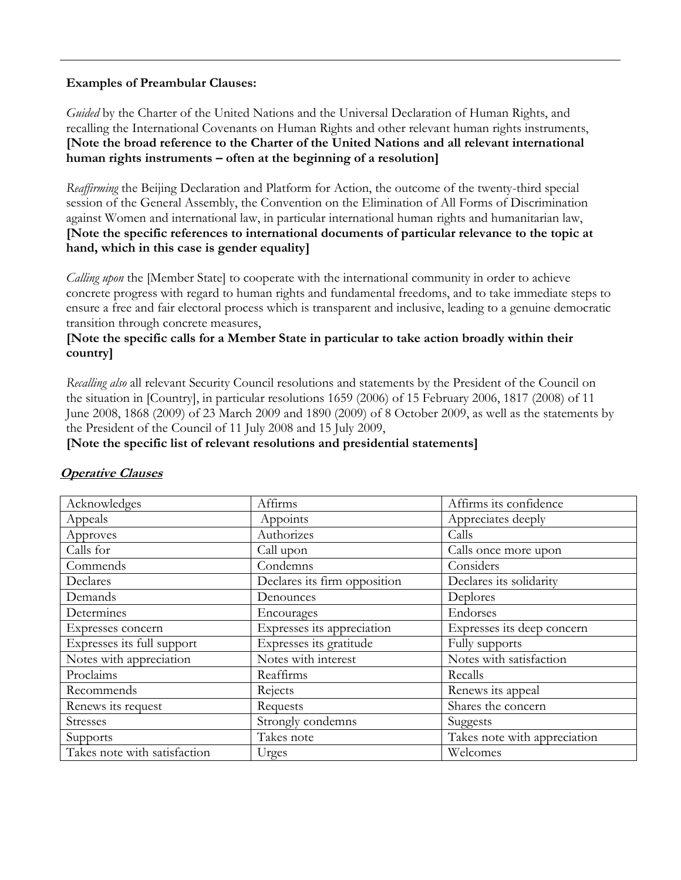## **Examples of Preambular Clauses:**

*Guided* by the Charter of the United Nations and the Universal Declaration of Human Rights, and recalling the International Covenants on Human Rights and other relevant human rights instruments, **[Note the broad reference to the Charter of the United Nations and all relevant international human rights instruments – often at the beginning of a resolution]**

*Reaffirming* the Beijing Declaration and Platform for Action, the outcome of the twenty-third special session of the General Assembly, the Convention on the Elimination of All Forms of Discrimination against Women and international law, in particular international human rights and humanitarian law, **[Note the specific references to international documents of particular relevance to the topic at hand, which in this case is gender equality]**

*Calling upon* the [Member State] to cooperate with the international community in order to achieve concrete progress with regard to human rights and fundamental freedoms, and to take immediate steps to ensure a free and fair electoral process which is transparent and inclusive, leading to a genuine democratic transition through concrete measures,

# **[Note the specific calls for a Member State in particular to take action broadly within their country]**

*Recalling also* all relevant Security Council resolutions and statements by the President of the Council on the situation in [Country], in particular resolutions 1659 (2006) of 15 February 2006, 1817 (2008) of 11 June 2008, 1868 (2009) of 23 March 2009 and 1890 (2009) of 8 October 2009, as well as the statements by the President of the Council of 11 July 2008 and 15 July 2009,

**[Note the specific list of relevant resolutions and presidential statements]**

| Acknowledges                 | Affirms                      | Affirms its confidence       |
|------------------------------|------------------------------|------------------------------|
| Appeals                      | Appoints                     | Appreciates deeply           |
| Approves                     | Authorizes                   | Calls                        |
| Calls for                    | Call upon                    | Calls once more upon         |
| Commends                     | Condemns                     | Considers                    |
| Declares                     | Declares its firm opposition | Declares its solidarity      |
| Demands                      | Denounces                    | Deplores                     |
| Determines                   | Encourages                   | Endorses                     |
| Expresses concern            | Expresses its appreciation   | Expresses its deep concern   |
| Expresses its full support   | Expresses its gratitude      | Fully supports               |
| Notes with appreciation      | Notes with interest          | Notes with satisfaction      |
| Proclaims                    | Reaffirms                    | Recalls                      |
| Recommends                   | Rejects                      | Renews its appeal            |
| Renews its request           | Requests                     | Shares the concern           |
| <b>Stresses</b>              | Strongly condemns            | Suggests                     |
| Supports                     | Takes note                   | Takes note with appreciation |
| Takes note with satisfaction | Urges                        | Welcomes                     |

# **Operative Clauses**